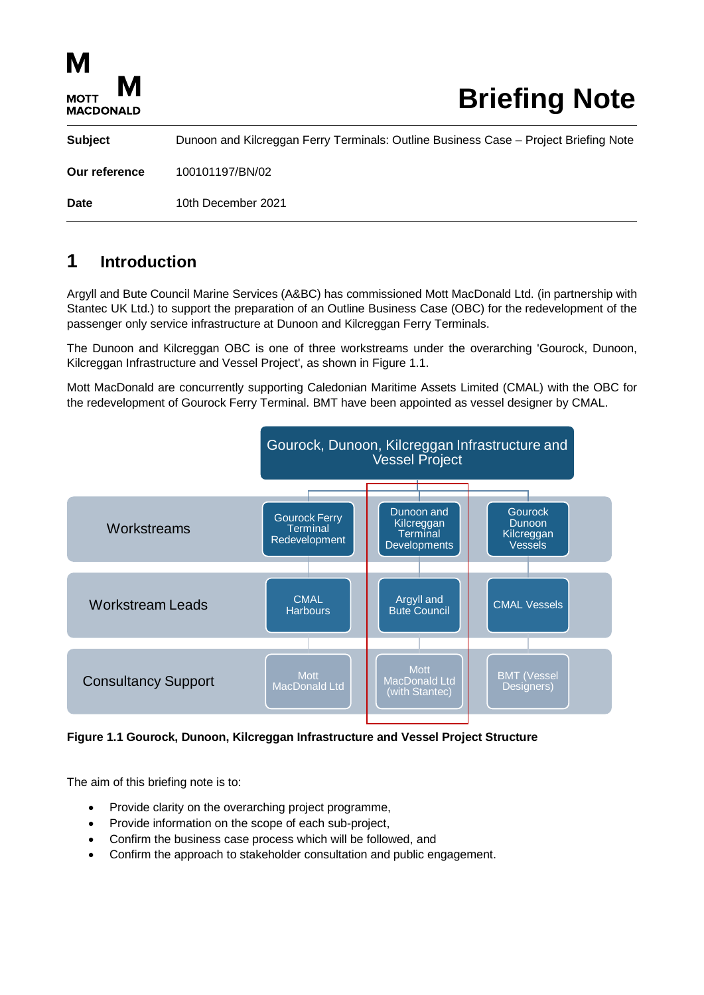| M<br>M<br><b>MOTT</b><br><b>MACDONALD</b> | <b>Briefing Note</b>                                                                 |
|-------------------------------------------|--------------------------------------------------------------------------------------|
| <b>Subject</b>                            | Dunoon and Kilcreggan Ferry Terminals: Outline Business Case – Project Briefing Note |
| Our reference                             | 100101197/BN/02                                                                      |
| Date                                      | 10th December 2021                                                                   |

# **1 Introduction**

Argyll and Bute Council Marine Services (A&BC) has commissioned Mott MacDonald Ltd. (in partnership with Stantec UK Ltd.) to support the preparation of an Outline Business Case (OBC) for the redevelopment of the passenger only service infrastructure at Dunoon and Kilcreggan Ferry Terminals.

The Dunoon and Kilcreggan OBC is one of three workstreams under the overarching 'Gourock, Dunoon, Kilcreggan Infrastructure and Vessel Project', as shown in Figure 1.1.

Mott MacDonald are concurrently supporting Caledonian Maritime Assets Limited (CMAL) with the OBC for the redevelopment of Gourock Ferry Terminal. BMT have been appointed as vessel designer by CMAL.



#### <span id="page-0-0"></span>**Figure 1.1 Gourock, Dunoon, Kilcreggan Infrastructure and Vessel Project Structure**

The aim of this briefing note is to:

- Provide clarity on the overarching project programme,
- Provide information on the scope of each sub-project,
- Confirm the business case process which will be followed, and
- Confirm the approach to stakeholder consultation and public engagement.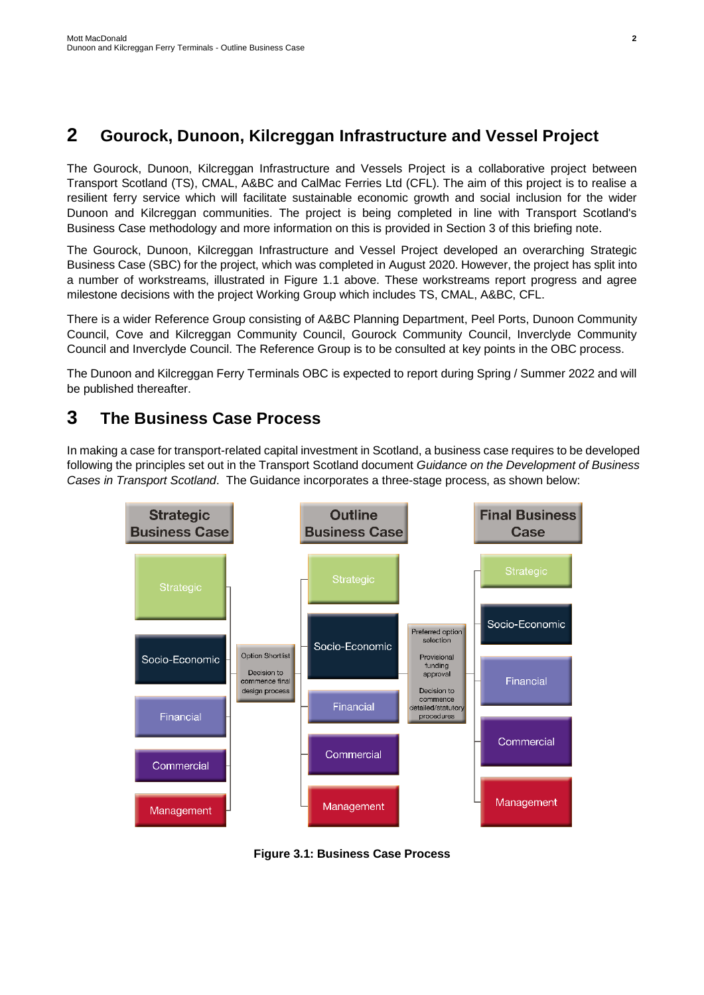## **2 Gourock, Dunoon, Kilcreggan Infrastructure and Vessel Project**

The Gourock, Dunoon, Kilcreggan Infrastructure and Vessels Project is a collaborative project between Transport Scotland (TS), CMAL, A&BC and CalMac Ferries Ltd (CFL). The aim of this project is to realise a resilient ferry service which will facilitate sustainable economic growth and social inclusion for the wider Dunoon and Kilcreggan communities. The project is being completed in line with Transport Scotland's Business Case methodology and more information on this is provided in Section 3 of this briefing note.

The Gourock, Dunoon, Kilcreggan Infrastructure and Vessel Project developed an overarching Strategic Business Case (SBC) for the project, which was completed in August 2020. However, the project has split into a number of workstreams, illustrated in [Figure 1.1](#page-0-0) above. These workstreams report progress and agree milestone decisions with the project Working Group which includes TS, CMAL, A&BC, CFL.

There is a wider Reference Group consisting of A&BC Planning Department, Peel Ports, Dunoon Community Council, Cove and Kilcreggan Community Council, Gourock Community Council, Inverclyde Community Council and Inverclyde Council. The Reference Group is to be consulted at key points in the OBC process.

The Dunoon and Kilcreggan Ferry Terminals OBC is expected to report during Spring / Summer 2022 and will be published thereafter.

### **3 The Business Case Process**

In making a case for transport-related capital investment in Scotland, a business case requires to be developed following the principles set out in the Transport Scotland document *Guidance on the Development of Business Cases in Transport Scotland*. The Guidance incorporates a three-stage process, as shown below:



<span id="page-1-0"></span>**Figure 3.1: Business Case Process**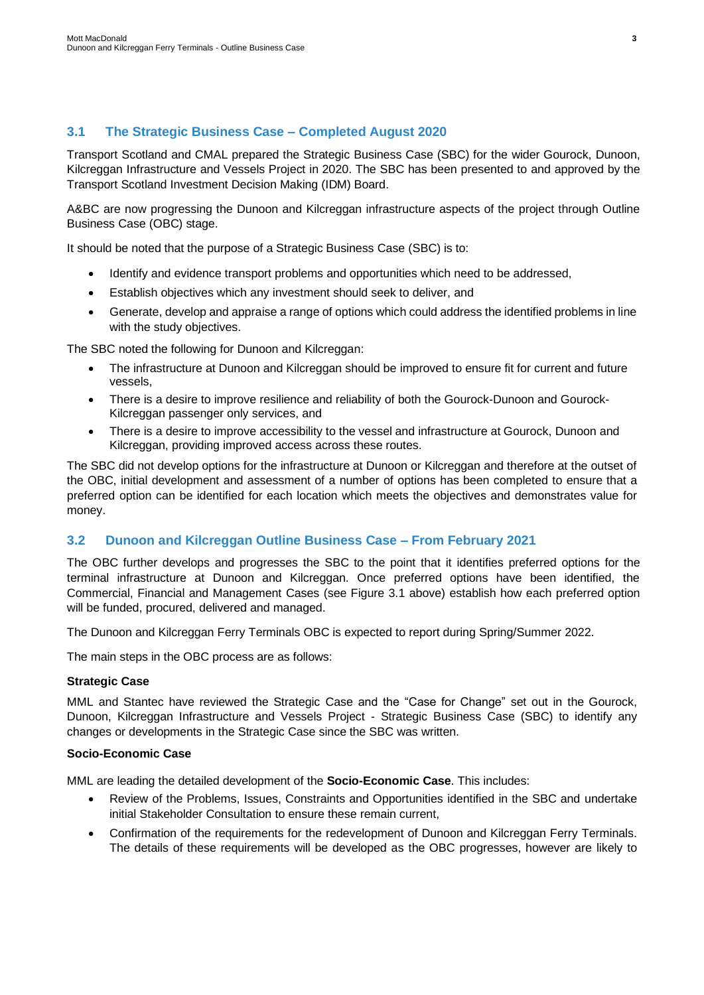### **3.1 The Strategic Business Case – Completed August 2020**

Transport Scotland and CMAL prepared the Strategic Business Case (SBC) for the wider Gourock, Dunoon, Kilcreggan Infrastructure and Vessels Project in 2020. The SBC has been presented to and approved by the Transport Scotland Investment Decision Making (IDM) Board.

A&BC are now progressing the Dunoon and Kilcreggan infrastructure aspects of the project through Outline Business Case (OBC) stage.

It should be noted that the purpose of a Strategic Business Case (SBC) is to:

- Identify and evidence transport problems and opportunities which need to be addressed,
- Establish objectives which any investment should seek to deliver, and
- Generate, develop and appraise a range of options which could address the identified problems in line with the study objectives.

The SBC noted the following for Dunoon and Kilcreggan:

- The infrastructure at Dunoon and Kilcreggan should be improved to ensure fit for current and future vessels,
- There is a desire to improve resilience and reliability of both the Gourock-Dunoon and Gourock-Kilcreggan passenger only services, and
- There is a desire to improve accessibility to the vessel and infrastructure at Gourock, Dunoon and Kilcreggan, providing improved access across these routes.

The SBC did not develop options for the infrastructure at Dunoon or Kilcreggan and therefore at the outset of the OBC, initial development and assessment of a number of options has been completed to ensure that a preferred option can be identified for each location which meets the objectives and demonstrates value for money.

### **3.2 Dunoon and Kilcreggan Outline Business Case – From February 2021**

The OBC further develops and progresses the SBC to the point that it identifies preferred options for the terminal infrastructure at Dunoon and Kilcreggan. Once preferred options have been identified, the Commercial, Financial and Management Cases (see [Figure 3.1](#page-1-0) above) establish how each preferred option will be funded, procured, delivered and managed.

The Dunoon and Kilcreggan Ferry Terminals OBC is expected to report during Spring/Summer 2022.

The main steps in the OBC process are as follows:

#### **Strategic Case**

MML and Stantec have reviewed the Strategic Case and the "Case for Change" set out in the Gourock, Dunoon, Kilcreggan Infrastructure and Vessels Project - Strategic Business Case (SBC) to identify any changes or developments in the Strategic Case since the SBC was written.

#### **Socio-Economic Case**

MML are leading the detailed development of the **Socio-Economic Case**. This includes:

- Review of the Problems, Issues, Constraints and Opportunities identified in the SBC and undertake initial Stakeholder Consultation to ensure these remain current,
- Confirmation of the requirements for the redevelopment of Dunoon and Kilcreggan Ferry Terminals. The details of these requirements will be developed as the OBC progresses, however are likely to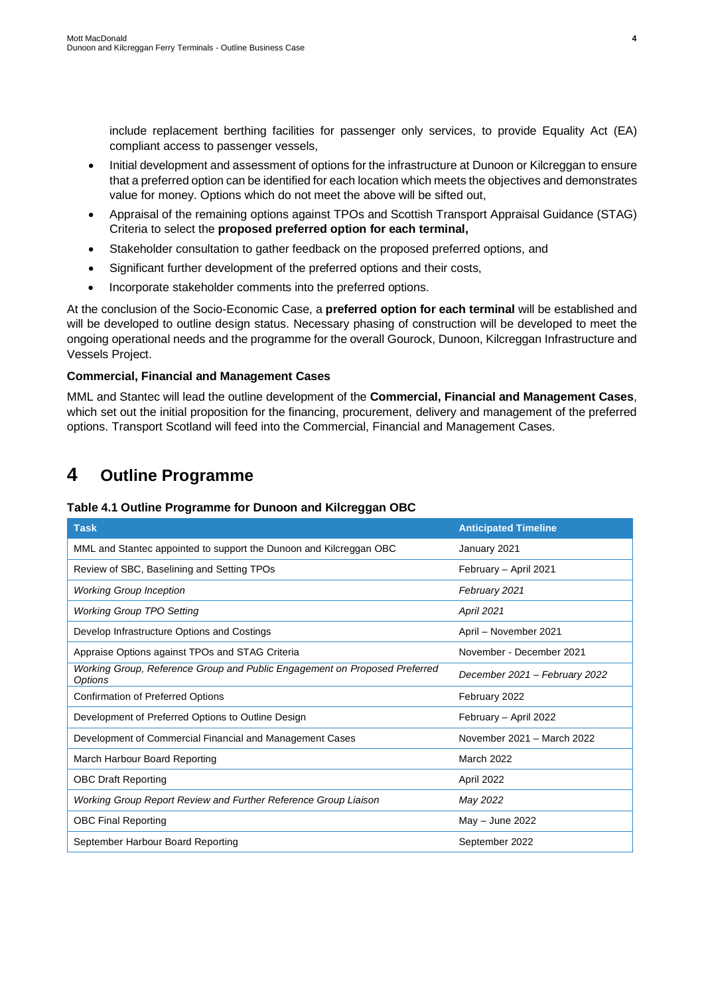include replacement berthing facilities for passenger only services, to provide Equality Act (EA) compliant access to passenger vessels,

- Initial development and assessment of options for the infrastructure at Dunoon or Kilcreggan to ensure that a preferred option can be identified for each location which meets the objectives and demonstrates value for money. Options which do not meet the above will be sifted out,
- Appraisal of the remaining options against TPOs and Scottish Transport Appraisal Guidance (STAG) Criteria to select the **proposed preferred option for each terminal,**
- Stakeholder consultation to gather feedback on the proposed preferred options, and
- Significant further development of the preferred options and their costs,
- Incorporate stakeholder comments into the preferred options.

At the conclusion of the Socio-Economic Case, a **preferred option for each terminal** will be established and will be developed to outline design status. Necessary phasing of construction will be developed to meet the ongoing operational needs and the programme for the overall Gourock, Dunoon, Kilcreggan Infrastructure and Vessels Project.

#### **Commercial, Financial and Management Cases**

MML and Stantec will lead the outline development of the **Commercial, Financial and Management Cases**, which set out the initial proposition for the financing, procurement, delivery and management of the preferred options. Transport Scotland will feed into the Commercial, Financial and Management Cases.

# **4 Outline Programme**

#### <span id="page-3-0"></span>**Table 4.1 Outline Programme for Dunoon and Kilcreggan OBC**

| <b>Task</b>                                                                           | <b>Anticipated Timeline</b>   |
|---------------------------------------------------------------------------------------|-------------------------------|
| MML and Stantec appointed to support the Dunoon and Kilcreggan OBC                    | January 2021                  |
| Review of SBC, Baselining and Setting TPOs                                            | February - April 2021         |
| <b>Working Group Inception</b>                                                        | February 2021                 |
| <b>Working Group TPO Setting</b>                                                      | <b>April 2021</b>             |
| Develop Infrastructure Options and Costings                                           | April - November 2021         |
| Appraise Options against TPOs and STAG Criteria                                       | November - December 2021      |
| Working Group, Reference Group and Public Engagement on Proposed Preferred<br>Options | December 2021 - February 2022 |
| <b>Confirmation of Preferred Options</b>                                              | February 2022                 |
| Development of Preferred Options to Outline Design                                    | February - April 2022         |
| Development of Commercial Financial and Management Cases                              | November 2021 - March 2022    |
| March Harbour Board Reporting                                                         | <b>March 2022</b>             |
| <b>OBC Draft Reporting</b>                                                            | April 2022                    |
| Working Group Report Review and Further Reference Group Liaison                       | May 2022                      |
| <b>OBC Final Reporting</b>                                                            | May - June 2022               |
| September Harbour Board Reporting                                                     | September 2022                |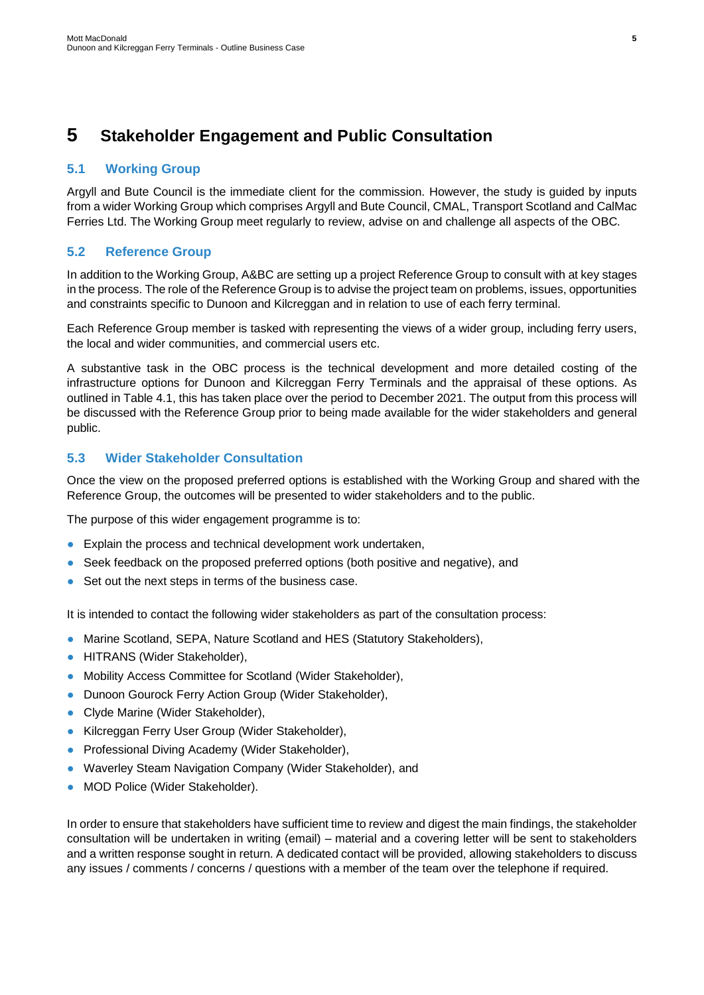## **5 Stakeholder Engagement and Public Consultation**

#### **5.1 Working Group**

Argyll and Bute Council is the immediate client for the commission. However, the study is guided by inputs from a wider Working Group which comprises Argyll and Bute Council, CMAL, Transport Scotland and CalMac Ferries Ltd. The Working Group meet regularly to review, advise on and challenge all aspects of the OBC.

#### **5.2 Reference Group**

In addition to the Working Group, A&BC are setting up a project Reference Group to consult with at key stages in the process. The role of the Reference Group is to advise the project team on problems, issues, opportunities and constraints specific to Dunoon and Kilcreggan and in relation to use of each ferry terminal.

Each Reference Group member is tasked with representing the views of a wider group, including ferry users, the local and wider communities, and commercial users etc.

A substantive task in the OBC process is the technical development and more detailed costing of the infrastructure options for Dunoon and Kilcreggan Ferry Terminals and the appraisal of these options. As outlined in [Table 4.1,](#page-3-0) this has taken place over the period to December 2021. The output from this process will be discussed with the Reference Group prior to being made available for the wider stakeholders and general public.

#### **5.3 Wider Stakeholder Consultation**

Once the view on the proposed preferred options is established with the Working Group and shared with the Reference Group, the outcomes will be presented to wider stakeholders and to the public.

The purpose of this wider engagement programme is to:

- Explain the process and technical development work undertaken,
- Seek feedback on the proposed preferred options (both positive and negative), and
- Set out the next steps in terms of the business case.

It is intended to contact the following wider stakeholders as part of the consultation process:

- Marine Scotland, SEPA, Nature Scotland and HES (Statutory Stakeholders),
- HITRANS (Wider Stakeholder),
- Mobility Access Committee for Scotland (Wider Stakeholder),
- Dunoon Gourock Ferry Action Group (Wider Stakeholder),
- Clyde Marine (Wider Stakeholder),
- Kilcreggan Ferry User Group (Wider Stakeholder),
- Professional Diving Academy (Wider Stakeholder),
- Waverley Steam Navigation Company (Wider Stakeholder), and
- MOD Police (Wider Stakeholder).

In order to ensure that stakeholders have sufficient time to review and digest the main findings, the stakeholder consultation will be undertaken in writing (email) – material and a covering letter will be sent to stakeholders and a written response sought in return. A dedicated contact will be provided, allowing stakeholders to discuss any issues / comments / concerns / questions with a member of the team over the telephone if required.